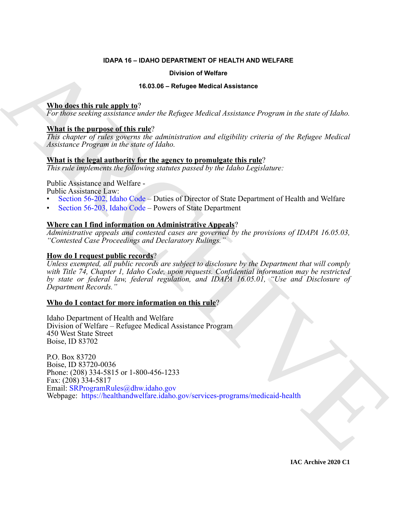#### **IDAPA 16 – IDAHO DEPARTMENT OF HEALTH AND WELFARE**

#### **Division of Welfare**

#### **16.03.06 – Refugee Medical Assistance**

#### **Who does this rule apply to**?

*For those seeking assistance under the Refugee Medical Assistance Program in the state of Idaho.*

#### **What is the purpose of this rule**?

*This chapter of rules governs the administration and eligibility criteria of the Refugee Medical Assistance Program in the state of Idaho.*

#### **What is the legal authority for the agency to promulgate this rule**?

*This rule implements the following statutes passed by the Idaho Legislature:*

Public Assistance and Welfare -

Public Assistance Law:

- Section 56-202, Idaho Code Duties of Director of State Department of Health and Welfare
- Section 56-203, Idaho Code Powers of State Department

#### **Where can I find information on Administrative Appeals**?

*Administrative appeals and contested cases are governed by the provisions of IDAPA 16.05.03, "Contested Case Proceedings and Declaratory Rulings."*

#### **How do I request public records**?

*Unless exempted, all public records are subject to disclosure by the Department that will comply with Title 74, Chapter 1, Idaho Code, upon requests. Confidential information may be restricted by state or federal law, federal regulation, and IDAPA 16.05.01, "Use and Disclosure of Department Records."*

#### **Who do I contact for more information on this rule**?

Idaho Department of Health and Welfare Division of Welfare – Refugee Medical Assistance Program 450 West State Street Boise, ID 83702

**EXAMPLE 16.314** - **ENAHO EPARTIN MENTINE TO FERRITH AND WELFARE**<br> **CONSECTED THE CONSECTED CONSECT ACTI[VE](https://healthandwelfare.idaho.gov/services-programs/medicaid-health) CONSECT ACTIVE CONSECT AND MELTING CONSECT AND MELTING CONSECT AND MELTING CONSECT AND MELTING CONSECT AND MELTING** P.O. Box 83720 Boise, ID 83720-0036 Phone: (208) 334-5815 or 1-800-456-1233 Fax: (208) 334-5817 Email: SRProgramRules@dhw.idaho.gov Webpage: https://healthandwelfare.idaho.gov/services-programs/medicaid-health

**IAC Archive 2020 C1**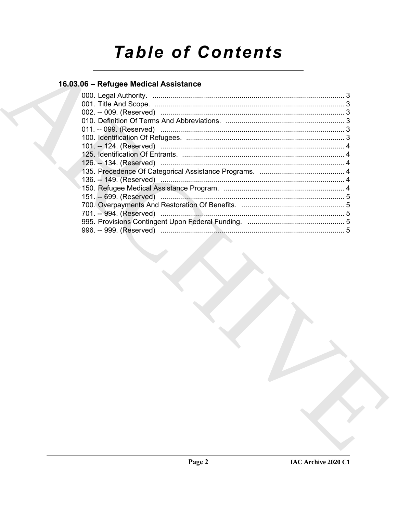# **Table of Contents**

### 16.03.06 - Refugee Medical Assistance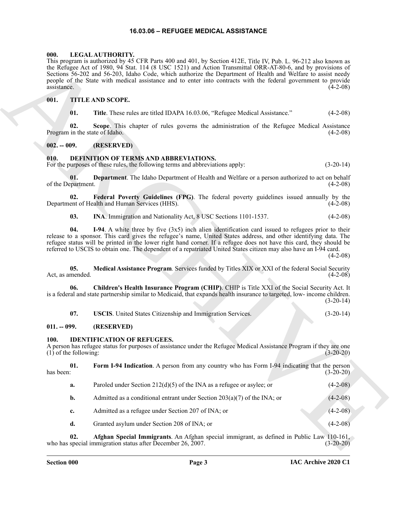#### **16.03.06 – REFUGEE MEDICAL ASSISTANCE**

#### <span id="page-2-17"></span><span id="page-2-1"></span><span id="page-2-0"></span>**000. LEGAL AUTHORITY.**

#### <span id="page-2-18"></span><span id="page-2-2"></span>**001. TITLE AND SCOPE.**

#### <span id="page-2-3"></span>**002. -- 009. (RESERVED)**

#### <span id="page-2-12"></span><span id="page-2-11"></span><span id="page-2-10"></span><span id="page-2-9"></span><span id="page-2-7"></span><span id="page-2-4"></span>**010. DEFINITION OF TERMS AND ABBREVIATIONS.**

<span id="page-2-15"></span><span id="page-2-14"></span><span id="page-2-13"></span><span id="page-2-8"></span>

|  | <b>USCIS.</b> United States Citizenship and Immigration Services. | $(3-20-14)$ |
|--|-------------------------------------------------------------------|-------------|
|--|-------------------------------------------------------------------|-------------|

#### <span id="page-2-5"></span>**011. -- 099. (RESERVED)**

#### <span id="page-2-16"></span><span id="page-2-6"></span>**100. IDENTIFICATION OF REFUGEES.**

| people of the State with medical assistance and to enter into contracts with the federal government to provide<br>assistance.<br>$(4-2-08)$                                                                                                                                                                                                                                                                                                                                               | the Refugee Act of 1980, 94 Stat. 114 (8 USC 1521) and Action Transmittal ORR-AT-80-6, and by provisions of<br>Sections 56-202 and 56-203, Idaho Code, which authorize the Department of Health and Welfare to assist needy |
|-------------------------------------------------------------------------------------------------------------------------------------------------------------------------------------------------------------------------------------------------------------------------------------------------------------------------------------------------------------------------------------------------------------------------------------------------------------------------------------------|-----------------------------------------------------------------------------------------------------------------------------------------------------------------------------------------------------------------------------|
| 001.<br><b>TITLE AND SCOPE.</b>                                                                                                                                                                                                                                                                                                                                                                                                                                                           |                                                                                                                                                                                                                             |
| 01.<br>Title. These rules are titled IDAPA 16.03.06, "Refugee Medical Assistance."<br>$(4-2-08)$                                                                                                                                                                                                                                                                                                                                                                                          |                                                                                                                                                                                                                             |
| 02.<br>Scope. This chapter of rules governs the administration of the Refugee Medical Assistance<br>Program in the state of Idaho.<br>$(4-2-08)$                                                                                                                                                                                                                                                                                                                                          |                                                                                                                                                                                                                             |
| $002. - 009.$<br>(RESERVED)                                                                                                                                                                                                                                                                                                                                                                                                                                                               |                                                                                                                                                                                                                             |
| <b>DEFINITION OF TERMS AND ABBREVIATIONS.</b><br>010.<br>For the purposes of these rules, the following terms and abbreviations apply:<br>$(3-20-14)$                                                                                                                                                                                                                                                                                                                                     |                                                                                                                                                                                                                             |
| 01.<br><b>Department</b> . The Idaho Department of Health and Welfare or a person authorized to act on behalf<br>of the Department.<br>$(4-2-08)$                                                                                                                                                                                                                                                                                                                                         |                                                                                                                                                                                                                             |
| Federal Poverty Guidelines (FPG). The federal poverty guidelines issued annually by the<br>02.<br>Department of Health and Human Services (HHS).<br>$(4-2-08)$                                                                                                                                                                                                                                                                                                                            |                                                                                                                                                                                                                             |
| 03.<br>INA. Immigration and Nationality Act, 8 USC Sections 1101-1537.<br>$(4-2-08)$                                                                                                                                                                                                                                                                                                                                                                                                      |                                                                                                                                                                                                                             |
| 04.<br>I-94. A white three by five $(3x5)$ inch alien identification card issued to refugees prior to their<br>release to a sponsor. This card gives the refugee's name, United States address, and other identifying data. The<br>refugee status will be printed in the lower right hand corner. If a refugee does not have this card, they should be<br>referred to USCIS to obtain one. The dependent of a repatriated United States citizen may also have an I-94 card.<br>$(4-2-08)$ |                                                                                                                                                                                                                             |
| Medical Assistance Program. Services funded by Titles XIX or XXI of the federal Social Security<br>05.<br>Act, as amended.<br>$(4-2-08)$                                                                                                                                                                                                                                                                                                                                                  |                                                                                                                                                                                                                             |
| Children's Health Insurance Program (CHIP). CHIP is Title XXI of the Social Security Act. It<br>06.<br>is a federal and state partnership similar to Medicaid, that expands health insurance to targeted, low- income children.<br>$(3-20-14)$                                                                                                                                                                                                                                            |                                                                                                                                                                                                                             |
| 07.<br><b>USCIS</b> . United States Citizenship and Immigration Services.<br>$(3-20-14)$                                                                                                                                                                                                                                                                                                                                                                                                  |                                                                                                                                                                                                                             |
| (RESERVED)<br>$011. - 099.$                                                                                                                                                                                                                                                                                                                                                                                                                                                               |                                                                                                                                                                                                                             |
| <b>IDENTIFICATION OF REFUGEES.</b><br><b>100.</b><br>A person has refugee status for purposes of assistance under the Refugee Medical Assistance Program if they are one<br>$(3-20-20)$<br>$(1)$ of the following:                                                                                                                                                                                                                                                                        |                                                                                                                                                                                                                             |
| 01.<br>Form I-94 Indication. A person from any country who has Form I-94 indicating that the person<br>has been:<br>$(3-20-20)$                                                                                                                                                                                                                                                                                                                                                           |                                                                                                                                                                                                                             |
| $(4-2-08)$<br>Paroled under Section $212(d)(5)$ of the INA as a refugee or asylee; or<br>a.                                                                                                                                                                                                                                                                                                                                                                                               |                                                                                                                                                                                                                             |
| b.<br>Admitted as a conditional entrant under Section $203(a)(7)$ of the INA; or<br>$(4-2-08)$                                                                                                                                                                                                                                                                                                                                                                                            |                                                                                                                                                                                                                             |
| Admitted as a refugee under Section 207 of INA; or<br>$(4-2-08)$<br>c.                                                                                                                                                                                                                                                                                                                                                                                                                    |                                                                                                                                                                                                                             |
| d.<br>Granted asylum under Section 208 of INA; or<br>$(4-2-08)$                                                                                                                                                                                                                                                                                                                                                                                                                           |                                                                                                                                                                                                                             |
| Afghan Special Immigrants. An Afghan special immigrant, as defined in Public Law 110-161,<br>02.<br>who has special immigration status after December 26, 2007.<br>$(3-20-20)$                                                                                                                                                                                                                                                                                                            |                                                                                                                                                                                                                             |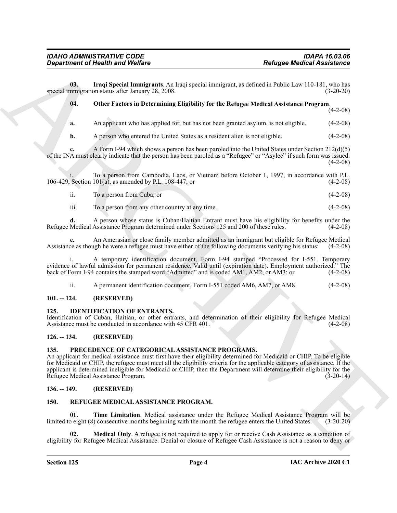**03. Iraqi Special Immigrants**. An Iraqi special immigrant, as defined in Public Law 110-181, who has special immigration status after January 28, 2008. (3-20-20)

#### <span id="page-3-8"></span><span id="page-3-7"></span>**04. Other Factors in Determining Eligibility for the Refugee Medical Assistance Program**.

(4-2-08)

**a.** An applicant who has applied for, but has not been granted asylum, is not eligible. (4-2-08)

**b.** A person who entered the United States as a resident alien is not eligible. (4-2-08)

**c.** A Form I-94 which shows a person has been paroled into the United States under Section 212(d)(5) of the INA must clearly indicate that the person has been paroled as a "Refugee" or "Asylee" if such form was issued:  $(4-2-08)$ 

i. To a person from Cambodia, Laos, or Vietnam before October 1, 1997, in accordance with P.L.<br>Section 101(a), as amended by P.L. 108-447; or (4-2-08) 106-429, Section 101(a), as amended by P.L. 108-447; or

ii. To a person from Cuba; or (4-2-08)

iii. To a person from any other country at any time. (4-2-08)

**d.** A person whose status is Cuban/Haitian Entrant must have his eligibility for benefits under the Refugee Medical Assistance Program determined under Sections 125 and 200 of these rules. (4-2-08)

**e.** An Amerasian or close family member admitted as an immigrant but eligible for Refugee Medical Assistance as though he were a refugee must have either of the following documents verifying his status: (4-2-08)

i. A temporary identification document, Form I-94 stamped "Processed for I-551. Temporary evidence of lawful admission for permanent residence. Valid until (expiration date). Employment authorized." The back of Form I-94 contains the stamped word "Admitted" and is coded AM1, AM2, or AM3; or (4-2-08) back of Form I-94 contains the stamped word "Admitted" and is coded AM1, AM2, or AM3; or

<span id="page-3-6"></span>ii. A permanent identification document, Form I-551 coded AM6, AM7, or AM8. (4-2-08)

#### <span id="page-3-0"></span>**101. -- 124. (RESERVED)**

#### <span id="page-3-1"></span>**125. IDENTIFICATION OF ENTRANTS.**

Identification of Cuban, Haitian, or other entrants, and determination of their eligibility for Refugee Medical Assistance must be conducted in accordance with 45 CFR 401. (4-2-08)

#### <span id="page-3-2"></span>**126. -- 134. (RESERVED)**

#### <span id="page-3-9"></span><span id="page-3-3"></span>**135. PRECEDENCE OF CATEGORICAL ASSISTANCE PROGRAMS.**

Generation of Health word Wolfare<br>
U.S. Irrest System (materials and special interactions are determined to the special states are the special of the special states are the special states are the special states are  $\Lambda$  a An applicant for medical assistance must first have their eligibility determined for Medicaid or CHIP. To be eligible for Medicaid or CHIP, the refugee must meet all the eligibility criteria for the applicable category of assistance. If the applicant is determined ineligible for Medicaid or CHIP, then the Department will determine their eligibility for the Refugee Medical Assistance Program. (3-20-14)

#### <span id="page-3-4"></span>**136. -- 149. (RESERVED)**

#### <span id="page-3-12"></span><span id="page-3-10"></span><span id="page-3-5"></span>**150. REFUGEE MEDICAL ASSISTANCE PROGRAM.**

**01. Time Limitation**. Medical assistance under the Refugee Medical Assistance Program will be limited to eight (8) consecutive months beginning with the month the refugee enters the United States. (3-20-20)

<span id="page-3-11"></span>**Medical Only.** A refugee is not required to apply for or receive Cash Assistance as a condition of eligibility for Refugee Medical Assistance. Denial or closure of Refugee Cash Assistance is not a reason to deny or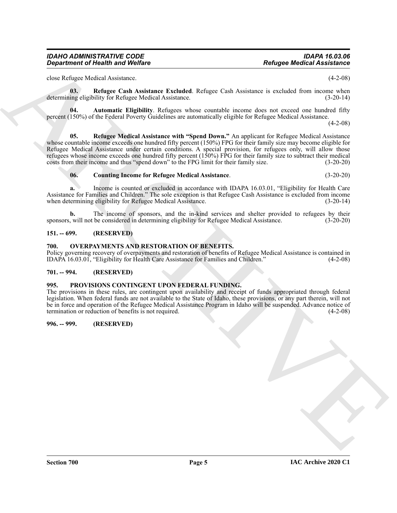#### *IDAHO ADMINISTRATIVE CODE IDAPA 16.03.06 Department of Health and Welfare*

<span id="page-4-9"></span>close Refugee Medical Assistance. (4-2-08)

**03. Refugee Cash Assistance Excluded**. Refugee Cash Assistance is excluded from income when determining eligibility for Refugee Medical Assistance. (3-20-14)

<span id="page-4-7"></span>**04. Automatic Eligibility**. Refugees whose countable income does not exceed one hundred fifty percent (150%) of the Federal Poverty Guidelines are automatically eligible for Refugee Medical Assistance.

 $(4-2-08)$ 

Beingtries of the site with Wolfare<br>
Source Model Assistance<br>
Source Model Assistance<br>
Source Model Assistance<br>
Source Model Assistance<br>
The site with the site with the site with the site with the site of the site with th **05. Refugee Medical Assistance with "Spend Down."** An applicant for Refugee Medical Assistance whose countable income exceeds one hundred fifty percent (150%) FPG for their family size may become eligible for Refugee Medical Assistance under certain conditions. A special provision, for refugees only, will allow those refugees whose income exceeds one hundred fifty percent (150%) FPG for their family size to subtract their medical costs from their income and thus "spend down" to the FPG limit for their family size. (3-20-20)

#### <span id="page-4-10"></span><span id="page-4-8"></span>**06. Counting Income for Refugee Medical Assistance**. (3-20-20)

**a.** Income is counted or excluded in accordance with IDAPA 16.03.01, "Eligibility for Health Care Assistance for Families and Children." The sole exception is that Refugee Cash Assistance is excluded from income when determining eligibility for Refugee Medical Assistance. (3-20-14)

**b.** The income of sponsors, and the in-kind services and shelter provided to refugees by their sponsors, will not be considered in determining eligibility for Refugee Medical Assistance. (3-20-20)

#### <span id="page-4-0"></span>**151. -- 699. (RESERVED)**

#### <span id="page-4-5"></span><span id="page-4-1"></span>**700. OVERPAYMENTS AND RESTORATION OF BENEFITS.**

Policy governing recovery of overpayments and restoration of benefits of Refugee Medical Assistance is contained in IDAPA 16.03.01, "Eligibility for Health Care Assistance for Families and Children." (4-2-08)

#### <span id="page-4-2"></span>**701. -- 994. (RESERVED)**

#### <span id="page-4-6"></span><span id="page-4-3"></span>**995. PROVISIONS CONTINGENT UPON FEDERAL FUNDING.**

The provisions in these rules, are contingent upon availability and receipt of funds appropriated through federal legislation. When federal funds are not available to the State of Idaho, these provisions, or any part therein, will not be in force and operation of the Refugee Medical Assistance Program in Idaho will be suspended. Advance notice of termination or reduction of benefits is not required. (4-2-08)

#### <span id="page-4-4"></span>**996. -- 999. (RESERVED)**